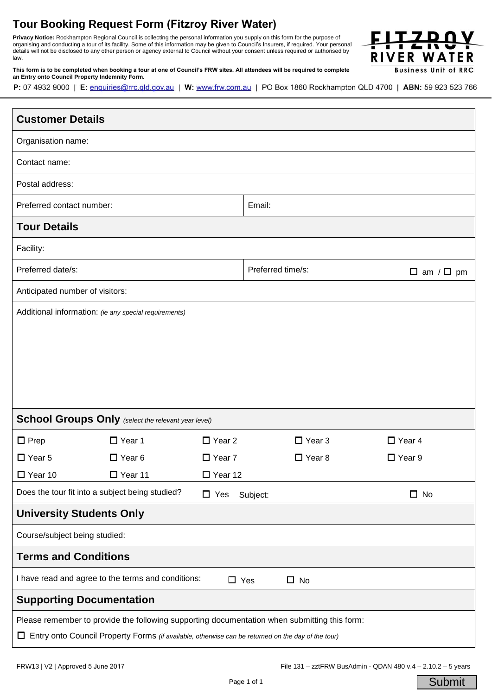## **Tour Booking Request Form (Fitzroy River Water)**

organising and conducting a tour of its facility. Some of this information may be given to Council's Insurers, if required. Your personal<br>details will not be disclosed to any other person as agency external to Council with **Privacy Notice:** Rockhampton Regional Council is collecting the personal information you supply on this form for the purpose of details will not be disclosed to any other person or agency external to Council without your consent unless required or authorised by law.



**This form is to be completed when booking a tour at one of Council's FRW sites. All attendees will be required to complete an Entry onto Council Property Indemnity Form.** 

P: 07 4932 9000 | E: enquiries@rrc.qld.gov.au | W: www.frw.com.au | PO Box 1860 Rockhampton QLD 4700 | ABN: 59 923 523 766

| <b>Customer Details</b>                                                                                 |               |                |                                            |               |               |
|---------------------------------------------------------------------------------------------------------|---------------|----------------|--------------------------------------------|---------------|---------------|
| Organisation name:                                                                                      |               |                |                                            |               |               |
| Contact name:                                                                                           |               |                |                                            |               |               |
| Postal address:                                                                                         |               |                |                                            |               |               |
| Preferred contact number:                                                                               |               |                | Email:                                     |               |               |
| <b>Tour Details</b>                                                                                     |               |                |                                            |               |               |
| Facility:                                                                                               |               |                |                                            |               |               |
| Preferred date/s:                                                                                       |               |                | Preferred time/s:<br>$\Box$ am / $\Box$ pm |               |               |
| Anticipated number of visitors:                                                                         |               |                |                                            |               |               |
| Additional information: (ie any special requirements)                                                   |               |                |                                            |               |               |
|                                                                                                         |               |                |                                            |               |               |
|                                                                                                         |               |                |                                            |               |               |
|                                                                                                         |               |                |                                            |               |               |
|                                                                                                         |               |                |                                            |               |               |
|                                                                                                         |               |                |                                            |               |               |
| School Groups Only (select the relevant year level)                                                     |               |                |                                            |               |               |
| $\Box$ Prep                                                                                             | $\Box$ Year 1 | $\Box$ Year 2  |                                            | $\Box$ Year 3 | $\Box$ Year 4 |
| $\Box$ Year 5                                                                                           | $\Box$ Year 6 | $\Box$ Year 7  |                                            | $\Box$ Year 8 | $\Box$ Year 9 |
| $\Box$ Year 10                                                                                          | □ Year 11     | $\Box$ Year 12 |                                            |               |               |
| Does the tour fit into a subject being studied?                                                         |               | $\Box$ Yes     | Subject:                                   |               | $\Box$ No     |
| <b>University Students Only</b>                                                                         |               |                |                                            |               |               |
| Course/subject being studied:                                                                           |               |                |                                            |               |               |
| <b>Terms and Conditions</b>                                                                             |               |                |                                            |               |               |
| I have read and agree to the terms and conditions:<br>$\Box$ Yes<br>$\Box$ No                           |               |                |                                            |               |               |
| <b>Supporting Documentation</b>                                                                         |               |                |                                            |               |               |
| Please remember to provide the following supporting documentation when submitting this form:            |               |                |                                            |               |               |
| Entry onto Council Property Forms (if available, otherwise can be returned on the day of the tour)<br>⊔ |               |                |                                            |               |               |

**Submit**